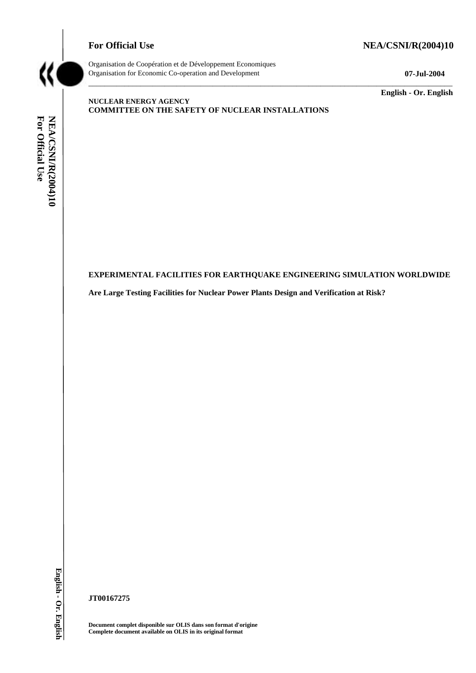# **For Official Use NEA/CSNI/R(2004)10**



Organisation de Coopération et de Développement Economiques Organisation for Economic Co-operation and Development **07-Jul-2004** 

\_\_\_\_\_\_\_\_\_\_\_\_\_ **English - Or. English** 

# **NUCLEAR ENERGY AGENCY COMMITTEE ON THE SAFETY OF NUCLEAR INSTALLATIONS**

# **EXPERIMENTAL FACILITIES FOR EARTHQUAKE ENGINEERING SIMULATION WORLDWIDE**

\_\_\_\_\_\_\_\_\_\_\_\_\_\_\_\_\_\_\_\_\_\_\_\_\_\_\_\_\_\_\_\_\_\_\_\_\_\_\_\_\_\_\_\_\_\_\_\_\_\_\_\_\_\_\_\_\_\_\_\_\_\_\_\_\_\_\_\_\_\_\_\_\_\_\_\_\_\_\_\_\_\_\_\_\_\_\_\_\_\_\_

**Are Large Testing Facilities for Nuclear Power Plants Design and Verification at Risk?** 

**JT00167275** 

**Document complet disponible sur OLIS dans son format d'origine Complete document available on OLIS in its original format**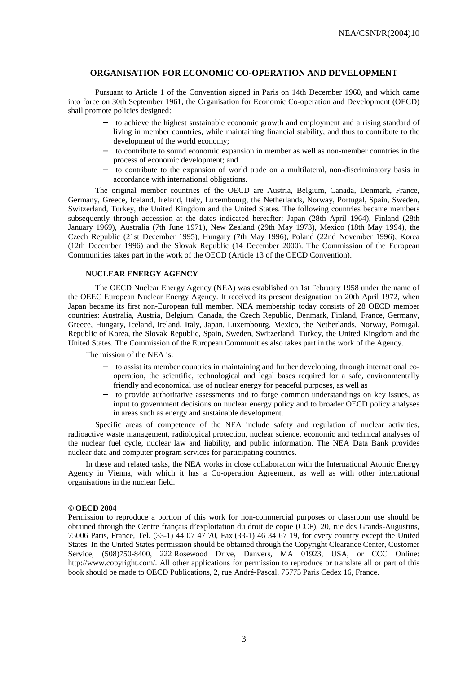#### **ORGANISATION FOR ECONOMIC CO-OPERATION AND DEVELOPMENT**

 Pursuant to Article 1 of the Convention signed in Paris on 14th December 1960, and which came into force on 30th September 1961, the Organisation for Economic Co-operation and Development (OECD) shall promote policies designed:

- − to achieve the highest sustainable economic growth and employment and a rising standard of living in member countries, while maintaining financial stability, and thus to contribute to the development of the world economy;
- − to contribute to sound economic expansion in member as well as non-member countries in the process of economic development; and
- − to contribute to the expansion of world trade on a multilateral, non-discriminatory basis in accordance with international obligations.

 The original member countries of the OECD are Austria, Belgium, Canada, Denmark, France, Germany, Greece, Iceland, Ireland, Italy, Luxembourg, the Netherlands, Norway, Portugal, Spain, Sweden, Switzerland, Turkey, the United Kingdom and the United States. The following countries became members subsequently through accession at the dates indicated hereafter: Japan (28th April 1964), Finland (28th January 1969), Australia (7th June 1971), New Zealand (29th May 1973), Mexico (18th May 1994), the Czech Republic (21st December 1995), Hungary (7th May 1996), Poland (22nd November 1996), Korea (12th December 1996) and the Slovak Republic (14 December 2000). The Commission of the European Communities takes part in the work of the OECD (Article 13 of the OECD Convention).

#### **NUCLEAR ENERGY AGENCY**

 The OECD Nuclear Energy Agency (NEA) was established on 1st February 1958 under the name of the OEEC European Nuclear Energy Agency. It received its present designation on 20th April 1972, when Japan became its first non-European full member. NEA membership today consists of 28 OECD member countries: Australia, Austria, Belgium, Canada, the Czech Republic, Denmark, Finland, France, Germany, Greece, Hungary, Iceland, Ireland, Italy, Japan, Luxembourg, Mexico, the Netherlands, Norway, Portugal, Republic of Korea, the Slovak Republic, Spain, Sweden, Switzerland, Turkey, the United Kingdom and the United States. The Commission of the European Communities also takes part in the work of the Agency.

The mission of the NEA is:

- − to assist its member countries in maintaining and further developing, through international cooperation, the scientific, technological and legal bases required for a safe, environmentally friendly and economical use of nuclear energy for peaceful purposes, as well as
- − to provide authoritative assessments and to forge common understandings on key issues, as input to government decisions on nuclear energy policy and to broader OECD policy analyses in areas such as energy and sustainable development.

 Specific areas of competence of the NEA include safety and regulation of nuclear activities, radioactive waste management, radiological protection, nuclear science, economic and technical analyses of the nuclear fuel cycle, nuclear law and liability, and public information. The NEA Data Bank provides nuclear data and computer program services for participating countries.

In these and related tasks, the NEA works in close collaboration with the International Atomic Energy Agency in Vienna, with which it has a Co-operation Agreement, as well as with other international organisations in the nuclear field.

#### *©* **OECD 2004**

Permission to reproduce a portion of this work for non-commercial purposes or classroom use should be obtained through the Centre français d'exploitation du droit de copie (CCF), 20, rue des Grands-Augustins, 75006 Paris, France, Tel. (33-1) 44 07 47 70, Fax (33-1) 46 34 67 19, for every country except the United States. In the United States permission should be obtained through the Copyright Clearance Center, Customer Service, (508)750-8400, 222 Rosewood Drive, Danvers, MA 01923, USA, or CCC Online: http://www.copyright.com/. All other applications for permission to reproduce or translate all or part of this book should be made to OECD Publications, 2, rue André-Pascal, 75775 Paris Cedex 16, France.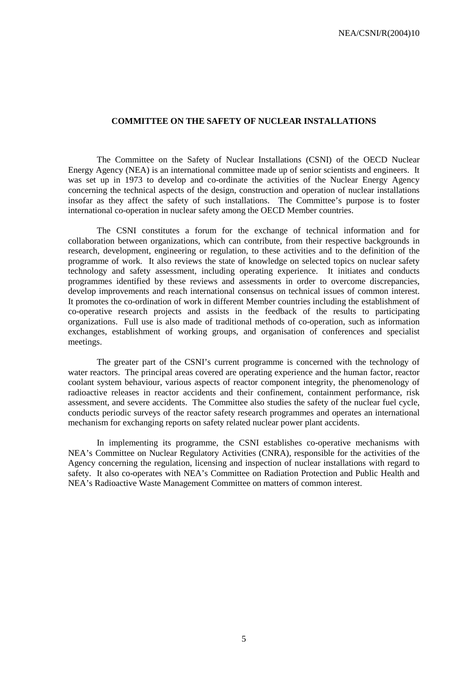# **COMMITTEE ON THE SAFETY OF NUCLEAR INSTALLATIONS**

The Committee on the Safety of Nuclear Installations (CSNI) of the OECD Nuclear Energy Agency (NEA) is an international committee made up of senior scientists and engineers. It was set up in 1973 to develop and co-ordinate the activities of the Nuclear Energy Agency concerning the technical aspects of the design, construction and operation of nuclear installations insofar as they affect the safety of such installations. The Committee's purpose is to foster international co-operation in nuclear safety among the OECD Member countries.

The CSNI constitutes a forum for the exchange of technical information and for collaboration between organizations, which can contribute, from their respective backgrounds in research, development, engineering or regulation, to these activities and to the definition of the programme of work. It also reviews the state of knowledge on selected topics on nuclear safety technology and safety assessment, including operating experience. It initiates and conducts programmes identified by these reviews and assessments in order to overcome discrepancies, develop improvements and reach international consensus on technical issues of common interest. It promotes the co-ordination of work in different Member countries including the establishment of co-operative research projects and assists in the feedback of the results to participating organizations. Full use is also made of traditional methods of co-operation, such as information exchanges, establishment of working groups, and organisation of conferences and specialist meetings.

The greater part of the CSNI's current programme is concerned with the technology of water reactors. The principal areas covered are operating experience and the human factor, reactor coolant system behaviour, various aspects of reactor component integrity, the phenomenology of radioactive releases in reactor accidents and their confinement, containment performance, risk assessment, and severe accidents. The Committee also studies the safety of the nuclear fuel cycle, conducts periodic surveys of the reactor safety research programmes and operates an international mechanism for exchanging reports on safety related nuclear power plant accidents.

In implementing its programme, the CSNI establishes co-operative mechanisms with NEA's Committee on Nuclear Regulatory Activities (CNRA), responsible for the activities of the Agency concerning the regulation, licensing and inspection of nuclear installations with regard to safety. It also co-operates with NEA's Committee on Radiation Protection and Public Health and NEA's Radioactive Waste Management Committee on matters of common interest.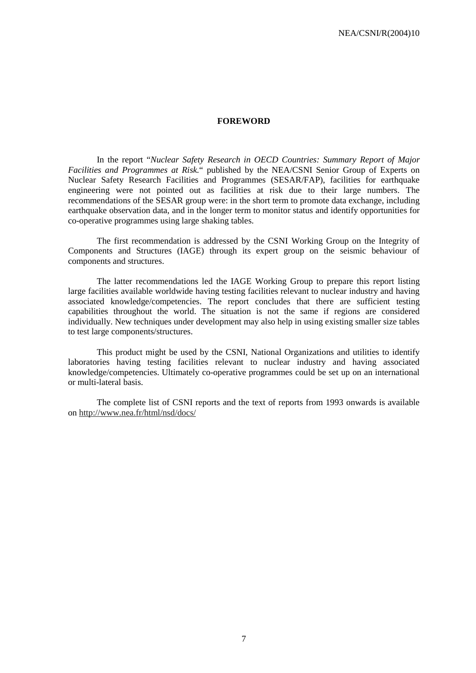### **FOREWORD**

In the report "*Nuclear Safety Research in OECD Countries: Summary Report of Major Facilities and Programmes at Risk.*" published by the NEA/CSNI Senior Group of Experts on Nuclear Safety Research Facilities and Programmes (SESAR/FAP), facilities for earthquake engineering were not pointed out as facilities at risk due to their large numbers. The recommendations of the SESAR group were: in the short term to promote data exchange, including earthquake observation data, and in the longer term to monitor status and identify opportunities for co-operative programmes using large shaking tables.

The first recommendation is addressed by the CSNI Working Group on the Integrity of Components and Structures (IAGE) through its expert group on the seismic behaviour of components and structures.

The latter recommendations led the IAGE Working Group to prepare this report listing large facilities available worldwide having testing facilities relevant to nuclear industry and having associated knowledge/competencies. The report concludes that there are sufficient testing capabilities throughout the world. The situation is not the same if regions are considered individually. New techniques under development may also help in using existing smaller size tables to test large components/structures.

This product might be used by the CSNI, National Organizations and utilities to identify laboratories having testing facilities relevant to nuclear industry and having associated knowledge/competencies. Ultimately co-operative programmes could be set up on an international or multi-lateral basis.

The complete list of CSNI reports and the text of reports from 1993 onwards is available on http://www.nea.fr/html/nsd/docs/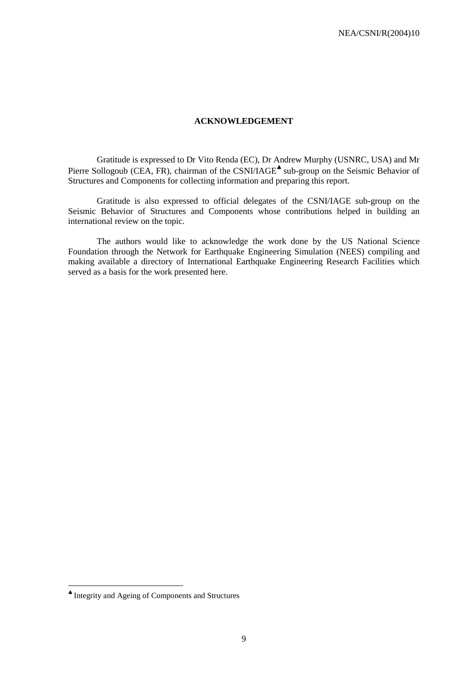# **ACKNOWLEDGEMENT**

Gratitude is expressed to Dr Vito Renda (EC), Dr Andrew Murphy (USNRC, USA) and Mr Pierre Sollogoub (CEA, FR), chairman of the CSNI/IAGE<sup>\*</sup> sub-group on the Seismic Behavior of Structures and Components for collecting information and preparing this report.

Gratitude is also expressed to official delegates of the CSNI/IAGE sub-group on the Seismic Behavior of Structures and Components whose contributions helped in building an international review on the topic.

The authors would like to acknowledge the work done by the US National Science Foundation through the Network for Earthquake Engineering Simulation (NEES) compiling and making available a directory of International Earthquake Engineering Research Facilities which served as a basis for the work presented here.

 $\overline{a}$ 

<sup>♣</sup> Integrity and Ageing of Components and Structures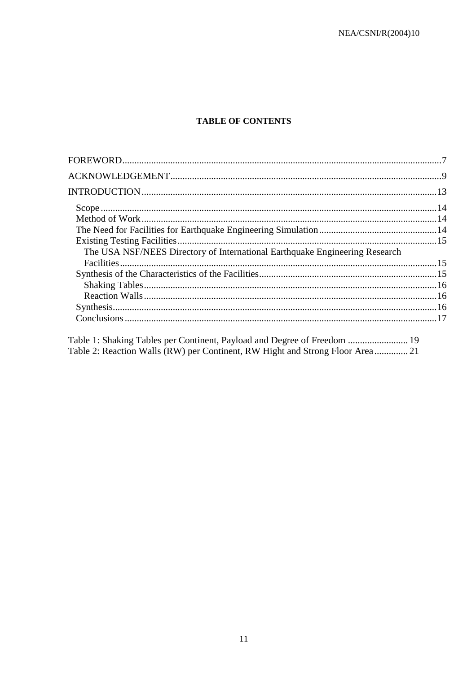# **TABLE OF CONTENTS**

| The USA NSF/NEES Directory of International Earthquake Engineering Research                                                                               |  |
|-----------------------------------------------------------------------------------------------------------------------------------------------------------|--|
|                                                                                                                                                           |  |
|                                                                                                                                                           |  |
|                                                                                                                                                           |  |
|                                                                                                                                                           |  |
|                                                                                                                                                           |  |
|                                                                                                                                                           |  |
| Table 1: Shaking Tables per Continent, Payload and Degree of Freedom  19<br>Table 2: Reaction Walls (RW) per Continent, RW Hight and Strong Floor Area 21 |  |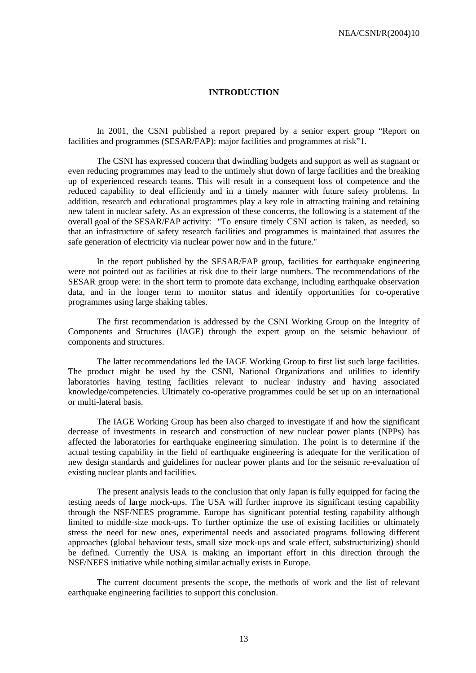# **INTRODUCTION**

In 2001, the CSNI published a report prepared by a senior expert group "Report on facilities and programmes (SESAR/FAP): major facilities and programmes at risk"1.

The CSNI has expressed concern that dwindling budgets and support as well as stagnant or even reducing programmes may lead to the untimely shut down of large facilities and the breaking up of experienced research teams. This will result in a consequent loss of competence and the reduced capability to deal efficiently and in a timely manner with future safety problems. In addition, research and educational programmes play a key role in attracting training and retaining new talent in nuclear safety. As an expression of these concerns, the following is a statement of the overall goal of the SESAR/FAP activity: "To ensure timely CSNI action is taken, as needed, so that an infrastructure of safety research facilities and programmes is maintained that assures the safe generation of electricity via nuclear power now and in the future."

In the report published by the SESAR/FAP group, facilities for earthquake engineering were not pointed out as facilities at risk due to their large numbers. The recommendations of the SESAR group were: in the short term to promote data exchange, including earthquake observation data, and in the longer term to monitor status and identify opportunities for co-operative programmes using large shaking tables.

The first recommendation is addressed by the CSNI Working Group on the Integrity of Components and Structures (IAGE) through the expert group on the seismic behaviour of components and structures.

The latter recommendations led the IAGE Working Group to first list such large facilities. The product might be used by the CSNI, National Organizations and utilities to identify laboratories having testing facilities relevant to nuclear industry and having associated knowledge/competencies. Ultimately co-operative programmes could be set up on an international or multi-lateral basis.

The IAGE Working Group has been also charged to investigate if and how the significant decrease of investments in research and construction of new nuclear power plants (NPPs) has affected the laboratories for earthquake engineering simulation. The point is to determine if the actual testing capability in the field of earthquake engineering is adequate for the verification of new design standards and guidelines for nuclear power plants and for the seismic re-evaluation of existing nuclear plants and facilities.

The present analysis leads to the conclusion that only Japan is fully equipped for facing the testing needs of large mock-ups. The USA will further improve its significant testing capability through the NSF/NEES programme. Europe has significant potential testing capability although limited to middle-size mock-ups. To further optimize the use of existing facilities or ultimately stress the need for new ones, experimental needs and associated programs following different approaches (global behaviour tests, small size mock-ups and scale effect, substructurizing) should be defined. Currently the USA is making an important effort in this direction through the NSF/NEES initiative while nothing similar actually exists in Europe.

The current document presents the scope, the methods of work and the list of relevant earthquake engineering facilities to support this conclusion.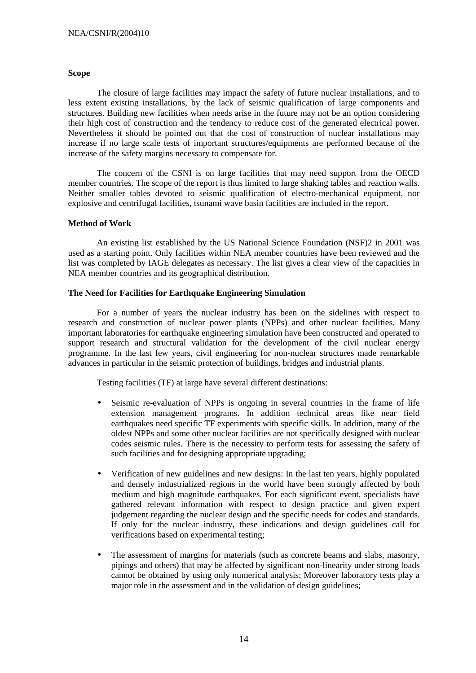# **Scope**

The closure of large facilities may impact the safety of future nuclear installations, and to less extent existing installations, by the lack of seismic qualification of large components and structures. Building new facilities when needs arise in the future may not be an option considering their high cost of construction and the tendency to reduce cost of the generated electrical power. Nevertheless it should be pointed out that the cost of construction of nuclear installations may increase if no large scale tests of important structures/equipments are performed because of the increase of the safety margins necessary to compensate for.

The concern of the CSNI is on large facilities that may need support from the OECD member countries. The scope of the report is thus limited to large shaking tables and reaction walls. Neither smaller tables devoted to seismic qualification of electro-mechanical equipment, nor explosive and centrifugal facilities, tsunami wave basin facilities are included in the report.

# **Method of Work**

An existing list established by the US National Science Foundation (NSF)2 in 2001 was used as a starting point. Only facilities within NEA member countries have been reviewed and the list was completed by IAGE delegates as necessary. The list gives a clear view of the capacities in NEA member countries and its geographical distribution.

# **The Need for Facilities for Earthquake Engineering Simulation**

For a number of years the nuclear industry has been on the sidelines with respect to research and construction of nuclear power plants (NPPs) and other nuclear facilities. Many important laboratories for earthquake engineering simulation have been constructed and operated to support research and structural validation for the development of the civil nuclear energy programme. In the last few years, civil engineering for non-nuclear structures made remarkable advances in particular in the seismic protection of buildings, bridges and industrial plants.

Testing facilities (TF) at large have several different destinations:

- Seismic re-evaluation of NPPs is ongoing in several countries in the frame of life extension management programs. In addition technical areas like near field earthquakes need specific TF experiments with specific skills. In addition, many of the oldest NPPs and some other nuclear facilities are not specifically designed with nuclear codes seismic rules. There is the necessity to perform tests for assessing the safety of such facilities and for designing appropriate upgrading;
- Verification of new guidelines and new designs: In the last ten years, highly populated and densely industrialized regions in the world have been strongly affected by both medium and high magnitude earthquakes. For each significant event, specialists have gathered relevant information with respect to design practice and given expert judgement regarding the nuclear design and the specific needs for codes and standards. If only for the nuclear industry, these indications and design guidelines call for verifications based on experimental testing;
- The assessment of margins for materials (such as concrete beams and slabs, masonry, pipings and others) that may be affected by significant non-linearity under strong loads cannot be obtained by using only numerical analysis; Moreover laboratory tests play a major role in the assessment and in the validation of design guidelines;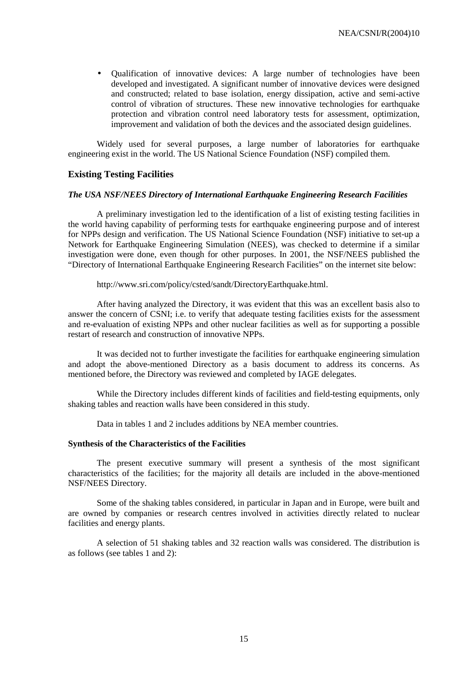• Qualification of innovative devices: A large number of technologies have been developed and investigated. A significant number of innovative devices were designed and constructed; related to base isolation, energy dissipation, active and semi-active control of vibration of structures. These new innovative technologies for earthquake protection and vibration control need laboratory tests for assessment, optimization, improvement and validation of both the devices and the associated design guidelines.

Widely used for several purposes, a large number of laboratories for earthquake engineering exist in the world. The US National Science Foundation (NSF) compiled them.

# **Existing Testing Facilities**

#### *The USA NSF/NEES Directory of International Earthquake Engineering Research Facilities*

A preliminary investigation led to the identification of a list of existing testing facilities in the world having capability of performing tests for earthquake engineering purpose and of interest for NPPs design and verification. The US National Science Foundation (NSF) initiative to set-up a Network for Earthquake Engineering Simulation (NEES), was checked to determine if a similar investigation were done, even though for other purposes. In 2001, the NSF/NEES published the "Directory of International Earthquake Engineering Research Facilities" on the internet site below:

http://www.sri.com/policy/csted/sandt/DirectoryEarthquake.html.

After having analyzed the Directory, it was evident that this was an excellent basis also to answer the concern of CSNI; i.e. to verify that adequate testing facilities exists for the assessment and re-evaluation of existing NPPs and other nuclear facilities as well as for supporting a possible restart of research and construction of innovative NPPs.

It was decided not to further investigate the facilities for earthquake engineering simulation and adopt the above-mentioned Directory as a basis document to address its concerns. As mentioned before, the Directory was reviewed and completed by IAGE delegates.

While the Directory includes different kinds of facilities and field-testing equipments, only shaking tables and reaction walls have been considered in this study.

Data in tables 1 and 2 includes additions by NEA member countries.

#### **Synthesis of the Characteristics of the Facilities**

The present executive summary will present a synthesis of the most significant characteristics of the facilities; for the majority all details are included in the above-mentioned NSF/NEES Directory.

Some of the shaking tables considered, in particular in Japan and in Europe, were built and are owned by companies or research centres involved in activities directly related to nuclear facilities and energy plants.

A selection of 51 shaking tables and 32 reaction walls was considered. The distribution is as follows (see tables 1 and 2):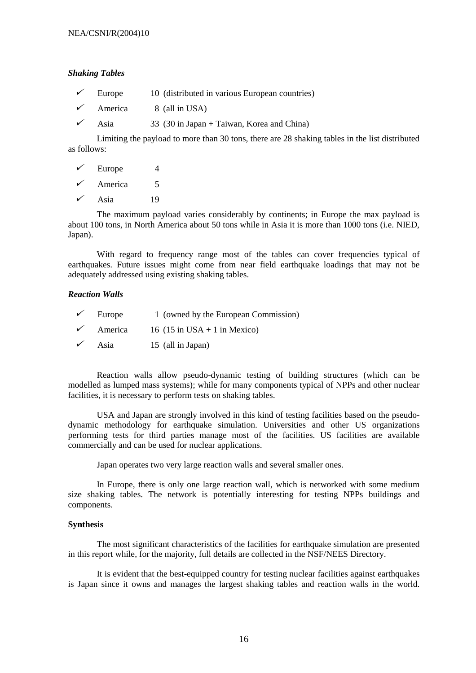### *Shaking Tables*

- $\checkmark$ Europe 10 (distributed in various European countries)
- $\checkmark$ America 8 (all in USA)
- $\checkmark$ Asia 33 (30 in Japan + Taiwan, Korea and China)

Limiting the payload to more than 30 tons, there are 28 shaking tables in the list distributed as follows:

 $\checkmark$ Europe 4  $\checkmark$  America 5  $\checkmark$ Asia 19

The maximum payload varies considerably by continents; in Europe the max payload is about 100 tons, in North America about 50 tons while in Asia it is more than 1000 tons (i.e. NIED, Japan).

With regard to frequency range most of the tables can cover frequencies typical of earthquakes. Future issues might come from near field earthquake loadings that may not be adequately addressed using existing shaking tables.

# *Reaction Walls*

|              | $\checkmark$ Europe  | 1 (owned by the European Commission)           |
|--------------|----------------------|------------------------------------------------|
|              | $\checkmark$ America | 16 $(15 \text{ in USA} + 1 \text{ in Mexico})$ |
| $\checkmark$ | Asia                 | 15 (all in Japan)                              |

Reaction walls allow pseudo-dynamic testing of building structures (which can be modelled as lumped mass systems); while for many components typical of NPPs and other nuclear facilities, it is necessary to perform tests on shaking tables.

USA and Japan are strongly involved in this kind of testing facilities based on the pseudodynamic methodology for earthquake simulation. Universities and other US organizations performing tests for third parties manage most of the facilities. US facilities are available commercially and can be used for nuclear applications.

Japan operates two very large reaction walls and several smaller ones.

In Europe, there is only one large reaction wall, which is networked with some medium size shaking tables. The network is potentially interesting for testing NPPs buildings and components.

### **Synthesis**

The most significant characteristics of the facilities for earthquake simulation are presented in this report while, for the majority, full details are collected in the NSF/NEES Directory.

It is evident that the best-equipped country for testing nuclear facilities against earthquakes is Japan since it owns and manages the largest shaking tables and reaction walls in the world.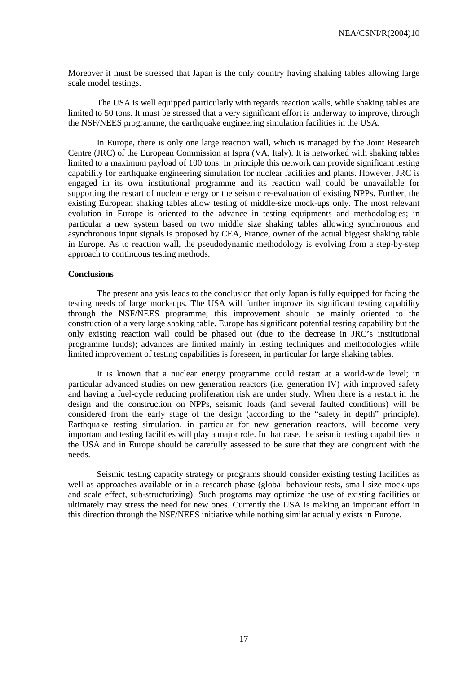Moreover it must be stressed that Japan is the only country having shaking tables allowing large scale model testings.

The USA is well equipped particularly with regards reaction walls, while shaking tables are limited to 50 tons. It must be stressed that a very significant effort is underway to improve, through the NSF/NEES programme, the earthquake engineering simulation facilities in the USA.

In Europe, there is only one large reaction wall, which is managed by the Joint Research Centre (JRC) of the European Commission at Ispra (VA, Italy). It is networked with shaking tables limited to a maximum payload of 100 tons. In principle this network can provide significant testing capability for earthquake engineering simulation for nuclear facilities and plants. However, JRC is engaged in its own institutional programme and its reaction wall could be unavailable for supporting the restart of nuclear energy or the seismic re-evaluation of existing NPPs. Further, the existing European shaking tables allow testing of middle-size mock-ups only. The most relevant evolution in Europe is oriented to the advance in testing equipments and methodologies; in particular a new system based on two middle size shaking tables allowing synchronous and asynchronous input signals is proposed by CEA, France, owner of the actual biggest shaking table in Europe. As to reaction wall, the pseudodynamic methodology is evolving from a step-by-step approach to continuous testing methods.

### **Conclusions**

The present analysis leads to the conclusion that only Japan is fully equipped for facing the testing needs of large mock-ups. The USA will further improve its significant testing capability through the NSF/NEES programme; this improvement should be mainly oriented to the construction of a very large shaking table. Europe has significant potential testing capability but the only existing reaction wall could be phased out (due to the decrease in JRC's institutional programme funds); advances are limited mainly in testing techniques and methodologies while limited improvement of testing capabilities is foreseen, in particular for large shaking tables.

It is known that a nuclear energy programme could restart at a world-wide level; in particular advanced studies on new generation reactors (i.e. generation IV) with improved safety and having a fuel-cycle reducing proliferation risk are under study. When there is a restart in the design and the construction on NPPs, seismic loads (and several faulted conditions) will be considered from the early stage of the design (according to the "safety in depth" principle). Earthquake testing simulation, in particular for new generation reactors, will become very important and testing facilities will play a major role. In that case, the seismic testing capabilities in the USA and in Europe should be carefully assessed to be sure that they are congruent with the needs.

Seismic testing capacity strategy or programs should consider existing testing facilities as well as approaches available or in a research phase (global behaviour tests, small size mock-ups and scale effect, sub-structurizing). Such programs may optimize the use of existing facilities or ultimately may stress the need for new ones. Currently the USA is making an important effort in this direction through the NSF/NEES initiative while nothing similar actually exists in Europe.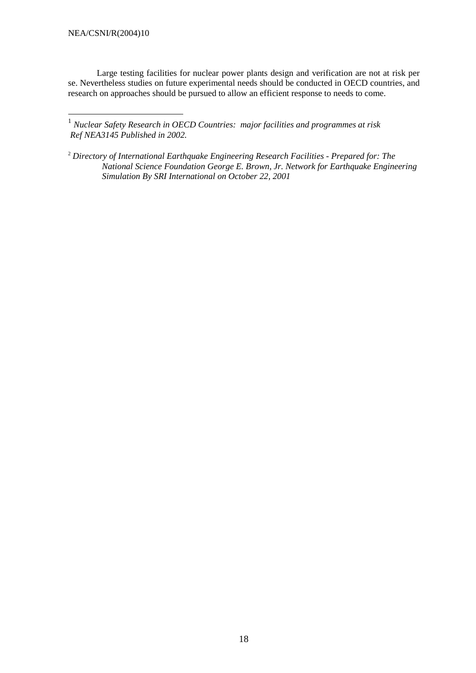$\overline{a}$ 

Large testing facilities for nuclear power plants design and verification are not at risk per se. Nevertheless studies on future experimental needs should be conducted in OECD countries, and research on approaches should be pursued to allow an efficient response to needs to come.

<sup>2</sup> *Directory of International Earthquake Engineering Research Facilities - Prepared for: The National Science Foundation George E. Brown, Jr. Network for Earthquake Engineering Simulation By SRI International on October 22, 2001*

<sup>1</sup> *Nuclear Safety Research in OECD Countries: major facilities and programmes at risk Ref NEA3145 Published in 2002.*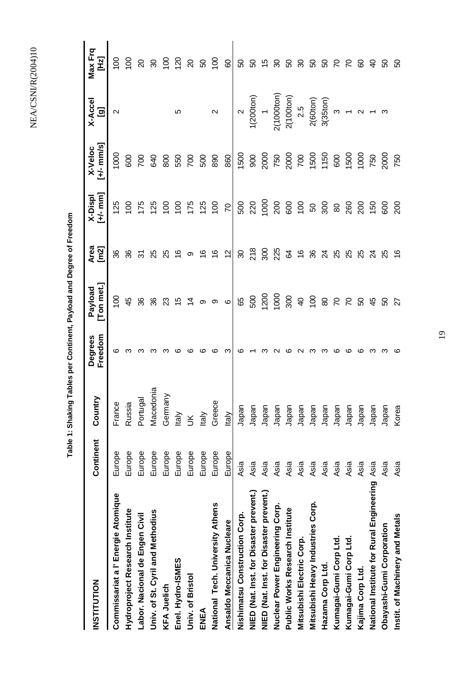| <b>INSTITUTION</b>                       | Continent | Country       | Degrees<br>Freedom | [Ton met.]<br>Payload | Area<br>[m2]    | $[+/-$ mm]<br>X-Displ   | $[+/$ - mm/s $]$<br>X-Veloc | X-Accel<br>[g]                                                                                                                                         | Max Frq<br>[Hz]     |
|------------------------------------------|-----------|---------------|--------------------|-----------------------|-----------------|-------------------------|-----------------------------|--------------------------------------------------------------------------------------------------------------------------------------------------------|---------------------|
| Commissariat a l' Energie Atomique       | Europe    | France        |                    | $\overline{0}$        | 36              | 125                     | 1000                        | $\mathbf{\Omega}$                                                                                                                                      | $\overline{5}$      |
| Hydroproject Research Institute          | Europe    | Russia        |                    | 45                    | 36              | 001                     | 600                         |                                                                                                                                                        | $\frac{0}{1}$       |
| Labor. Nacional de Engen Civil           | Europe    | Portugal      |                    | 86                    |                 |                         | 700                         |                                                                                                                                                        |                     |
| Univ. of St. Cyril and Methodius         | Europe    | Macedonia     |                    | 36                    | 25              | $175$<br>$125$          |                             |                                                                                                                                                        | <u>ន ន ទ្ទី ន ន</u> |
| <b>KFA Juelich</b>                       | Europe    | Germar        |                    | 23                    | 25              | 100                     | 640<br>800                  |                                                                                                                                                        |                     |
| Enel. Hydro-ISMES                        | Europe    | <b>Italy</b>  |                    | $\frac{6}{1}$         | $\frac{6}{1}$   |                         | 550                         | 5                                                                                                                                                      |                     |
| Univ. of Bristol                         | Europe    | $\leq$        |                    | $\dot{4}$             | თ               | $100$<br>$150$<br>$100$ | 700                         |                                                                                                                                                        |                     |
| ENEA                                     | Europe    | ltaly         |                    | တ                     | $\frac{6}{1}$   |                         | 500                         |                                                                                                                                                        |                     |
| National Tech. University Athens         | Europe    | Greece        |                    | တ                     | $\frac{6}{1}$   |                         | 890                         |                                                                                                                                                        | $\frac{8}{1}$       |
| Ansaldo Meccanica Nucleare               | Europe    | <b>Ital</b> y | ო                  | $\circ$               | $\frac{2}{3}$   | $\overline{C}$          | 860                         |                                                                                                                                                        | 60                  |
| Nishimatsu Construction Corp.            | Asia      | Japan         | ဖ                  | 65                    | $30\,$          | 500                     | 1500                        | 1(200ton)<br>1(200ton)<br>2(100ton)<br>2(50ton)<br>2(60ton)<br>3(35ton)<br>3(35ton)<br>3<br>4<br>4<br>4<br>4<br>4<br>4<br>4<br>4<br>4<br>7<br>3(35ton) | 50                  |
| NIED (Nat. Inst. for Disaster prevent.)  | Asia      | Japan         |                    | 500                   | 218             | 220                     | 900                         |                                                                                                                                                        | 50                  |
| NIED (Nat. Inst. for Disaster prevent.)  | Asia      | Japan         |                    | 1200                  | 300             | 1000                    | 2000                        |                                                                                                                                                        | 45                  |
| Nuclear Power Engineering Corp.          | Asia      | Japan         |                    | 1000                  | 225             |                         |                             |                                                                                                                                                        | $\infty$            |
| Public Works Research Institute          | Asia      | Japan         |                    | 300                   | 64              | 200<br>600<br>100       | 750<br>2000<br>700          |                                                                                                                                                        | <u>ទ</u>            |
| Mitsubishi Electric Corp.                | Asia      | Japan         |                    | $\overline{4}$        | $\frac{6}{5}$   |                         |                             |                                                                                                                                                        | 80                  |
| Mitsubishi Heavy Industries Corp.        | Asia      | Japan         |                    | 100                   | 36              | ${\tt S0}$              |                             |                                                                                                                                                        | 50                  |
| Hazama Corp Ltd.                         | Asia      | Japan         |                    |                       | $\overline{24}$ | 300                     | 1500<br>1150                |                                                                                                                                                        | SO                  |
| Kumagai-Gumi Corp Ltd.                   | Asia      | Japan         |                    | <b>228</b>            | 25              | $\rm 80$                | 600                         |                                                                                                                                                        |                     |
| Kumagai-Gumi Corp Ltd.                   | Asia      | Japan         |                    |                       | 25              | 260                     |                             |                                                                                                                                                        | 2 2                 |
| Kajima Corp Ltd.                         | Asia      | Japan         |                    |                       | 25              | 200                     | 1500<br>1000                |                                                                                                                                                        | 8                   |
| National Institute for Rural Engineering | Asia      | Japan         |                    | 5045                  |                 | 150                     | 750                         |                                                                                                                                                        | ਼੍ਰ                 |
| Obayashi-Gumi Corporation                | Asia      | Japan         |                    | 50                    |                 | 600                     | 2000                        |                                                                                                                                                        | င္တ                 |
| Instit. of Machinery and Metals          | Asia      | Korea         |                    | 27                    | $\frac{6}{1}$   | 200                     | 750                         |                                                                                                                                                        | ន                   |

Table 1: Shaking Tables per Continent, Payload and Degree of Freedom **Table 1: Shaking Tables per Continent, Payload and Degree of Freedom**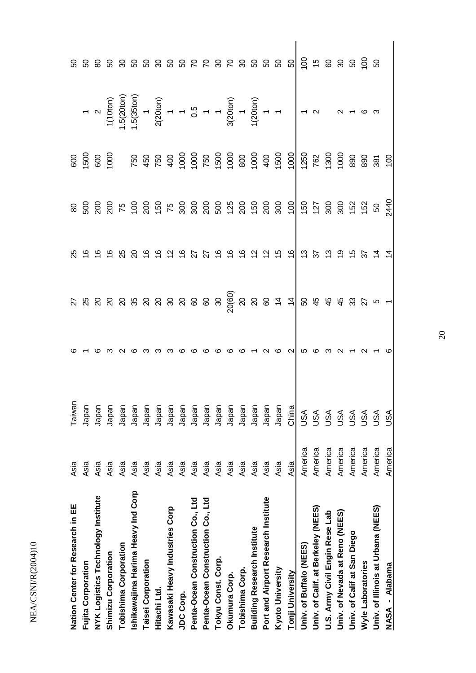| Nation Center for Research in EE    | Asia    | Taiwan     |                         |                                                           |                                                                                                        |                                                                                                                                                                                                                                                                                                                                                                  |  |
|-------------------------------------|---------|------------|-------------------------|-----------------------------------------------------------|--------------------------------------------------------------------------------------------------------|------------------------------------------------------------------------------------------------------------------------------------------------------------------------------------------------------------------------------------------------------------------------------------------------------------------------------------------------------------------|--|
| Fujita Corporation                  | Asia    | Japan      |                         |                                                           |                                                                                                        |                                                                                                                                                                                                                                                                                                                                                                  |  |
| NYK Logistics Technology Institute  | Asia    | Japan      |                         |                                                           |                                                                                                        |                                                                                                                                                                                                                                                                                                                                                                  |  |
| Shimizu Corporation                 | Asia    | Japan      |                         |                                                           |                                                                                                        |                                                                                                                                                                                                                                                                                                                                                                  |  |
| <b>Tobishima Corporation</b>        | Asia    | Japan      |                         |                                                           |                                                                                                        |                                                                                                                                                                                                                                                                                                                                                                  |  |
| Ishikawajima Harima Heavy Ind Corp  | Asia    | Japan      |                         |                                                           |                                                                                                        |                                                                                                                                                                                                                                                                                                                                                                  |  |
| Taisei Corporation                  | Asia    | Japan      |                         |                                                           |                                                                                                        |                                                                                                                                                                                                                                                                                                                                                                  |  |
| Hitachi Ltd.                        | Asia    | Japan      |                         |                                                           |                                                                                                        |                                                                                                                                                                                                                                                                                                                                                                  |  |
| Kawasaki Heavy Industries Corp      | Asia    | Japan      |                         |                                                           |                                                                                                        |                                                                                                                                                                                                                                                                                                                                                                  |  |
| <b>JDC Corp.</b>                    | Asia    | Japan      |                         |                                                           |                                                                                                        |                                                                                                                                                                                                                                                                                                                                                                  |  |
| Penta-Ocean Construction Co., Ltd   | Asia    | Japan      |                         |                                                           |                                                                                                        |                                                                                                                                                                                                                                                                                                                                                                  |  |
| Penta-Ocean Construction Co., Ltd   | Asia    | Japan      |                         |                                                           |                                                                                                        |                                                                                                                                                                                                                                                                                                                                                                  |  |
| Tokyu Const. Corp.                  | Asia    | Japan      | n N C N N N C C C C C C |                                                           |                                                                                                        |                                                                                                                                                                                                                                                                                                                                                                  |  |
| Okumura Corp.                       | Asia    | Japan      |                         |                                                           |                                                                                                        |                                                                                                                                                                                                                                                                                                                                                                  |  |
| Tobishima Corp.                     | Asia    | Japan      |                         |                                                           |                                                                                                        |                                                                                                                                                                                                                                                                                                                                                                  |  |
| <b>Building Research Institute</b>  | Asia    | Japan      |                         |                                                           |                                                                                                        |                                                                                                                                                                                                                                                                                                                                                                  |  |
| Port and Airport Research Institute | Asia    | Japan      |                         |                                                           |                                                                                                        |                                                                                                                                                                                                                                                                                                                                                                  |  |
| Kyoto University                    | Asia    | Japan      |                         |                                                           |                                                                                                        |                                                                                                                                                                                                                                                                                                                                                                  |  |
| Tonji University                    | Asia    | China      |                         |                                                           |                                                                                                        |                                                                                                                                                                                                                                                                                                                                                                  |  |
| Univ. of Buffalo (NEES)             | America | S<         | <u>ດ ພ</u>              | 8 1 1 2 2 3 4 5 6 5 6 7 7 6 6 6 6 6 6 6 6 6 6 7 6 6 7 8 7 | <u>ទ ទី ខ្លី ខ្លី ទី ខ្លី ម៉ូ ម៉ូ ទី ខ្លី ខ្លី ម៉ូ ខ្លី ខ្ញី ខ្ញី ម៉ូ ច័ ខ្ញី ខ្លី ខ្លី ម៉ូ ទី ម៉ូ</u> | $- \frac{1}{2}$<br>$- \frac{1}{2}$<br>$- \frac{1}{2}$<br>$- \frac{1}{2}$<br>$- \frac{1}{2}$<br>$- \frac{1}{2}$<br>$- \frac{1}{2}$<br>$- \frac{1}{2}$<br>$- \frac{1}{2}$<br>$- \frac{1}{2}$<br>$- \frac{1}{2}$<br>$- \frac{1}{2}$<br>$- \frac{1}{2}$<br>$- \frac{1}{2}$<br>$- \frac{1}{2}$<br>$- \frac{1}{2}$<br>$- \frac{1}{2}$<br>$- \frac{1}{2}$<br>$- \frac{$ |  |
| Univ. of Calif. at Berkeley (NEES)  | America | JSA        |                         |                                                           |                                                                                                        |                                                                                                                                                                                                                                                                                                                                                                  |  |
| U.S. Army Civil Engin Rese Lab      | America | <b>ASL</b> |                         |                                                           |                                                                                                        |                                                                                                                                                                                                                                                                                                                                                                  |  |
| Univ. of Nevada at Reno (NEES)      | America | <b>ASL</b> |                         |                                                           |                                                                                                        |                                                                                                                                                                                                                                                                                                                                                                  |  |
| Univ. of Calif at San Diego         | America | JSA        |                         |                                                           |                                                                                                        |                                                                                                                                                                                                                                                                                                                                                                  |  |
| Wyle Laboratories                   | America | <b>ASL</b> |                         |                                                           |                                                                                                        |                                                                                                                                                                                                                                                                                                                                                                  |  |
| Univ. of Illinois at Urbana (NEES)  | America | SA         |                         |                                                           |                                                                                                        |                                                                                                                                                                                                                                                                                                                                                                  |  |
| NASA - Alabama                      | America | USA        |                         |                                                           |                                                                                                        |                                                                                                                                                                                                                                                                                                                                                                  |  |

20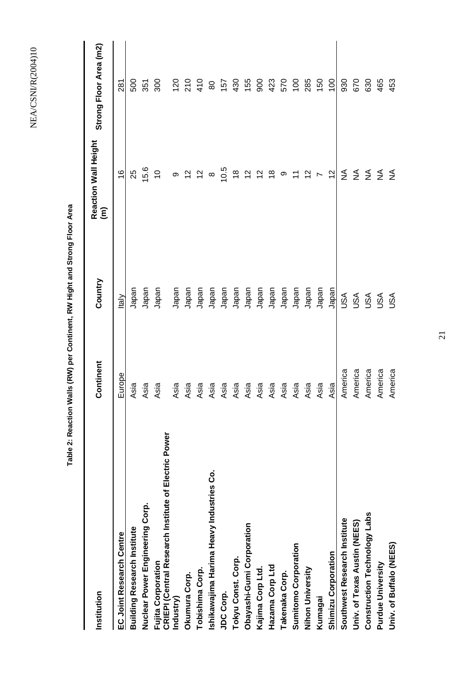| Institution                                                                       | Continent | Country      | Reaction Wall Height<br>$\widehat{\epsilon}$ | Strong Floor Area (m2) |
|-----------------------------------------------------------------------------------|-----------|--------------|----------------------------------------------|------------------------|
| EC Joint Research Centre                                                          | Europe    | <b>Italy</b> | $\frac{6}{5}$                                | 281                    |
| <b>Building Research Institute</b>                                                | Asia      | Japan        | 25                                           | 500                    |
| Nuclear Power Engineering Corp.                                                   | sia<br>⋖  | Japan        | 15.6                                         | 351                    |
| CRIEPI (Central Research Institute of Electric Power<br><b>Fujita Corporation</b> | sia<br>⋖  | Japan        | $\tilde{0}$                                  | 300                    |
| Industry)                                                                         | sia<br>⋖  | Japan        | თ                                            | 120                    |
| Okumura Corp.                                                                     | sia<br>⋖  | Japan        |                                              | 210                    |
| Tobishima Corp.                                                                   | sia<br>⋖  | Japan        | 22                                           | 410                    |
| Ishikawajima Harima Heavy Industries Co.                                          | sia<br>⋖  | Japan        | $\infty$                                     | $\rm 80$               |
| JDC Corp.                                                                         | sia<br>⋖  | Japan        | 10.5                                         | 157                    |
| Tokyu Const. Corp.                                                                | sia<br>⋖  | Japan        | $\frac{8}{1}$                                | 430                    |
| Obayashi-Gumi Corporation                                                         | Asia      | Japan        | $\tilde{c}$                                  | 155                    |
| Kajima Corp Ltd.                                                                  | sia<br>⋖  | Japan        | $\overline{c}$                               | 900                    |
| Hazama Corp Ltd                                                                   | sia<br>⋖  | Japan        | $\frac{8}{1}$                                | 423                    |
| Takenaka Corp.                                                                    | Asia      | Japan        |                                              | 570                    |
| Sumitomo Corporation                                                              | sia<br>⋖  | Japan        |                                              | 100                    |
| Nihon University                                                                  | Asia      | Japan        | $\frac{2}{3}$                                | 285                    |
| Kumagai                                                                           | sia<br>⋖  | Japan        |                                              | 150                    |
| Shimizu Corporation                                                               | Asia      | Japan        | 2                                            | 100                    |
| Southwest Research Institute                                                      | America   | JSA          | ≨                                            | 930                    |
| Univ. of Texas Austin (NEES)                                                      | America   | JSA          | $\frac{4}{2}$                                | 670                    |
| Construction Technology Labs                                                      | America   | <b>USA</b>   | $\mathfrak{Z}$                               | 630                    |
| Purdue University                                                                 | America   | JSA          | $\mathfrak{Z}$                               | 465                    |
| Univ. of Buffalo (NEES)                                                           | America   | ∧s           | $\frac{4}{2}$                                | 453                    |

Table 2: Reaction Walls (RW) per Continent, RW Hight and Strong Floor Area **Table 2: Reaction Walls (RW) per Continent, RW Hight and Strong Floor Area**